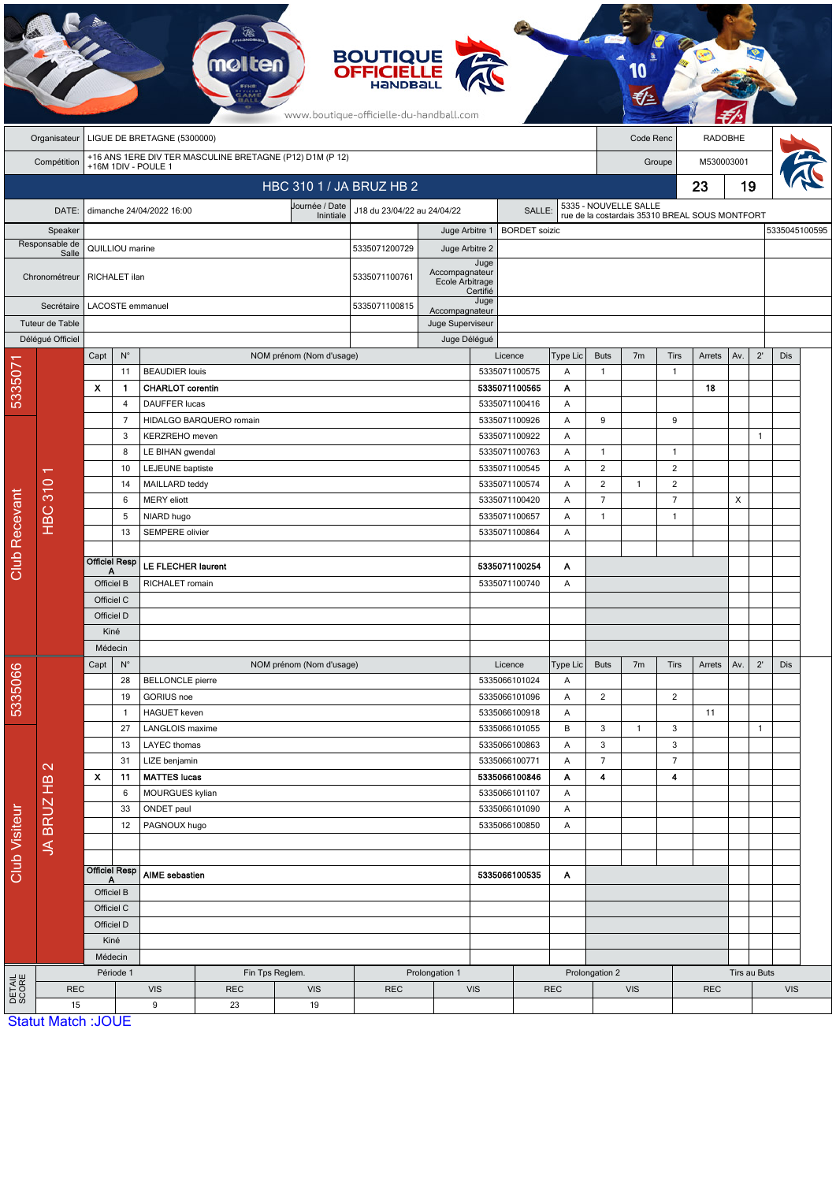|                          | <b>BOUTIQUE</b><br><b>OFFICIELLE</b><br>HANDBALL<br>www.boutique-officielle-du-handball.com |                                                                                 |                      |                                       |                         |                          |                                       |                                    |                                     |                          |               |                             |                                                |                         |                |            |              |               |  |
|--------------------------|---------------------------------------------------------------------------------------------|---------------------------------------------------------------------------------|----------------------|---------------------------------------|-------------------------|--------------------------|---------------------------------------|------------------------------------|-------------------------------------|--------------------------|---------------|-----------------------------|------------------------------------------------|-------------------------|----------------|------------|--------------|---------------|--|
|                          | Organisateur                                                                                | LIGUE DE BRETAGNE (5300000)                                                     |                      |                                       |                         |                          |                                       |                                    |                                     |                          |               |                             | Code Renc                                      |                         | <b>RADOBHE</b> |            |              |               |  |
|                          | Compétition                                                                                 | +16 ANS 1ERE DIV TER MASCULINE BRETAGNE (P12) D1M (P 12)<br>+16M 1DIV - POULE 1 |                      |                                       |                         |                          |                                       |                                    |                                     |                          |               |                             | Groupe                                         |                         |                | M530003001 |              |               |  |
| HBC 310 1 / JA BRUZ HB 2 |                                                                                             |                                                                                 |                      |                                       |                         |                          |                                       |                                    |                                     |                          |               |                             |                                                |                         | 23             | 19         |              |               |  |
|                          | DATE:                                                                                       |                                                                                 |                      | dimanche 24/04/2022 16:00             |                         | Journée / Date           | J18 du 23/04/22 au 24/04/22<br>SALLE: |                                    |                                     |                          |               |                             | 5335 - NOUVELLE SALLE                          |                         |                |            |              |               |  |
|                          | Speaker                                                                                     |                                                                                 |                      |                                       |                         | Inintiale                |                                       | Juge Arbitre 1                     |                                     | <b>BORDET</b> soizic     |               |                             | rue de la costardais 35310 BREAL SOUS MONTFORT |                         |                |            |              | 5335045100595 |  |
| Responsable de           |                                                                                             | QUILLIOU marine                                                                 |                      |                                       |                         |                          | 5335071200729                         | Juge Arbitre 2                     |                                     |                          |               |                             |                                                |                         |                |            |              |               |  |
|                          | Salle<br>Chronométreur                                                                      | RICHALET ilan                                                                   |                      |                                       |                         |                          | 5335071100761                         | Accompagnateur<br>Ecole Arbitrage  | Juge                                |                          |               |                             |                                                |                         |                |            |              |               |  |
| Secrétaire               |                                                                                             | LACOSTE emmanuel                                                                |                      |                                       |                         | 5335071100815            |                                       | Certifié<br>Juge<br>Accompagnateur |                                     |                          |               |                             |                                                |                         |                |            |              |               |  |
|                          | Tuteur de Table                                                                             |                                                                                 |                      |                                       |                         |                          | Juge Superviseur                      |                                    |                                     |                          |               |                             |                                                |                         |                |            |              |               |  |
|                          | Délégué Officiel                                                                            |                                                                                 |                      |                                       |                         |                          | Juge Délégué                          |                                    |                                     |                          |               |                             |                                                |                         |                |            |              |               |  |
|                          |                                                                                             | Capt                                                                            | $N^{\circ}$<br>11    | <b>BEAUDIER louis</b>                 |                         | NOM prénom (Nom d'usage) |                                       |                                    |                                     | Licence<br>5335071100575 | Type Lic<br>Α | <b>Buts</b><br>$\mathbf{1}$ | 7 <sub>m</sub>                                 | Tirs<br>$\mathbf{1}$    | Arrets         | Av.        | $2^{\prime}$ | Dis           |  |
| 533507                   |                                                                                             | X                                                                               | 1                    | <b>CHARLOT</b> corentin               |                         |                          |                                       |                                    |                                     | 5335071100565            | Α             |                             |                                                |                         | 18             |            |              |               |  |
|                          |                                                                                             |                                                                                 | $\overline{4}$       | <b>DAUFFER lucas</b>                  |                         |                          |                                       |                                    |                                     | 5335071100416            | Α             |                             |                                                |                         |                |            |              |               |  |
|                          |                                                                                             |                                                                                 | $\overline{7}$       |                                       | HIDALGO BARQUERO romain |                          |                                       |                                    |                                     | 5335071100926            | Α             | 9                           |                                                | 9                       |                |            |              |               |  |
|                          |                                                                                             |                                                                                 | 3                    | KERZREHO meven                        |                         |                          |                                       |                                    |                                     | 5335071100922            | Α             |                             |                                                |                         |                |            | $\mathbf{1}$ |               |  |
|                          | <b>HBC 310</b>                                                                              |                                                                                 | 8                    | LE BIHAN gwendal                      |                         |                          |                                       |                                    |                                     | 5335071100763            | Α             | $\mathbf{1}$                |                                                | $\overline{1}$          |                |            |              |               |  |
|                          |                                                                                             |                                                                                 | 10                   | LEJEUNE baptiste                      |                         |                          |                                       |                                    |                                     | 5335071100545            | Α             | 2                           |                                                | $\overline{2}$          |                |            |              |               |  |
|                          |                                                                                             |                                                                                 | 14                   |                                       | MAILLARD teddy          |                          |                                       |                                    |                                     | 5335071100574            | Α             | $\overline{2}$              | $\mathbf{1}$                                   | $\overline{\mathbf{c}}$ |                |            |              |               |  |
|                          |                                                                                             |                                                                                 | 6                    | <b>MERY</b> eliott<br>NIARD hugo      |                         |                          |                                       |                                    |                                     | 5335071100420            |               | $\overline{7}$              |                                                | $\overline{7}$          |                | X          |              |               |  |
|                          |                                                                                             |                                                                                 | 5                    |                                       |                         |                          |                                       |                                    | 5335071100657<br>Α                  |                          | $\mathbf{1}$  |                             | $\mathbf{1}$                                   |                         |                |            |              |               |  |
|                          |                                                                                             |                                                                                 | 13                   | SEMPERE olivier                       |                         |                          |                                       | 5335071100864                      |                                     |                          | Α             |                             |                                                |                         |                |            |              |               |  |
| Club Recevant            |                                                                                             |                                                                                 | <b>Officiel Resp</b> |                                       |                         |                          |                                       |                                    |                                     |                          | Α             |                             |                                                |                         |                |            |              |               |  |
|                          |                                                                                             | Α                                                                               |                      | LE FLECHER laurent<br>RICHALET romain |                         |                          |                                       |                                    | 5335071100254<br>5335071100740<br>Α |                          |               |                             |                                                |                         |                |            |              |               |  |
|                          |                                                                                             | Officiel B<br>Officiel C                                                        |                      |                                       |                         |                          |                                       |                                    |                                     |                          |               |                             |                                                |                         |                |            |              |               |  |
|                          |                                                                                             | Officiel D                                                                      |                      |                                       |                         |                          |                                       |                                    |                                     |                          |               |                             |                                                |                         |                |            |              |               |  |
|                          |                                                                                             | Kiné                                                                            |                      |                                       |                         |                          |                                       |                                    |                                     |                          |               |                             |                                                |                         |                |            |              |               |  |
|                          |                                                                                             | Médecin                                                                         |                      |                                       |                         |                          |                                       |                                    |                                     |                          |               |                             |                                                |                         |                |            |              |               |  |
|                          |                                                                                             | Capt                                                                            | $N^{\circ}$          |                                       |                         | NOM prénom (Nom d'usage) |                                       |                                    |                                     | Licence                  | Type Lic      | <b>Buts</b>                 | 7 <sub>m</sub>                                 | <b>Tirs</b>             | Arrets         | Av.        | $2^{\prime}$ | Dis           |  |
| 5335066                  |                                                                                             |                                                                                 | 28                   | <b>BELLONCLE</b> pierre               |                         |                          |                                       |                                    |                                     | 5335066101024            | Α             |                             |                                                |                         |                |            |              |               |  |
|                          |                                                                                             |                                                                                 | 19                   | <b>GORIUS</b> noe                     |                         |                          |                                       |                                    |                                     | 5335066101096            | Α             | $\overline{2}$              |                                                | $\overline{2}$          |                |            |              |               |  |
|                          |                                                                                             |                                                                                 | $\mathbf{1}$         | <b>HAGUET</b> keven                   |                         |                          |                                       |                                    |                                     | 5335066100918            | Α             |                             |                                                |                         | 11             |            |              |               |  |
| <b>Club Visiteur</b>     | $\mathbf{\Omega}$<br><b>JA BRUZ HB</b>                                                      | 27                                                                              |                      | LANGLOIS maxime                       |                         |                          |                                       |                                    |                                     | 5335066101055            | В             | 3                           | $\mathbf{1}$                                   | 3                       |                |            | $\mathbf{1}$ |               |  |
|                          |                                                                                             |                                                                                 | 13<br>31             | LAYEC thomas                          |                         |                          |                                       |                                    |                                     | 5335066100863            | Α             | 3<br>$\overline{7}$         |                                                | 3<br>$\overline{7}$     |                |            |              |               |  |
|                          |                                                                                             | $\boldsymbol{\mathsf{x}}$                                                       | 11                   | LIZE benjamin<br><b>MATTES lucas</b>  |                         |                          |                                       |                                    | 5335066100771<br>5335066100846      |                          | Α<br>Α        | $\blacktriangleleft$        |                                                | 4                       |                |            |              |               |  |
|                          |                                                                                             |                                                                                 | 6                    | MOURGUES kylian                       |                         |                          |                                       |                                    | 5335066101107                       |                          | A             |                             |                                                |                         |                |            |              |               |  |
|                          |                                                                                             |                                                                                 | 33                   | ONDET paul                            |                         |                          |                                       |                                    | 5335066101090                       |                          | Α             |                             |                                                |                         |                |            |              |               |  |
|                          |                                                                                             |                                                                                 | 12                   | PAGNOUX hugo                          |                         |                          |                                       |                                    | 5335066100850                       |                          |               |                             |                                                |                         |                |            |              |               |  |
|                          |                                                                                             |                                                                                 |                      |                                       |                         |                          |                                       |                                    |                                     |                          |               |                             |                                                |                         |                |            |              |               |  |
|                          |                                                                                             | <b>Officiel Resp</b>                                                            |                      |                                       |                         |                          |                                       |                                    |                                     |                          |               |                             |                                                |                         |                |            |              |               |  |
|                          |                                                                                             | A                                                                               |                      | <b>AIME</b> sebastien                 |                         |                          | 5335066100535<br>A                    |                                    |                                     |                          |               |                             |                                                |                         |                |            |              |               |  |
|                          |                                                                                             | Officiel B                                                                      |                      |                                       |                         |                          |                                       |                                    |                                     |                          |               |                             |                                                |                         |                |            |              |               |  |
|                          |                                                                                             | Officiel C<br>Officiel D                                                        |                      |                                       |                         |                          |                                       |                                    |                                     |                          |               |                             |                                                |                         |                |            |              |               |  |
|                          |                                                                                             | Kiné                                                                            |                      |                                       |                         |                          |                                       |                                    |                                     |                          |               |                             |                                                |                         |                |            |              |               |  |
|                          |                                                                                             |                                                                                 | Médecin              |                                       |                         |                          |                                       |                                    |                                     |                          |               |                             |                                                |                         |                |            |              |               |  |
|                          |                                                                                             |                                                                                 | Période 1            | Fin Tps Reglem.                       |                         |                          |                                       | Prolongation 1                     |                                     |                          |               | Prolongation 2              |                                                |                         |                |            | Tirs au Buts |               |  |
| <b>DETAIL</b><br>SCORE   | <b>REC</b>                                                                                  |                                                                                 |                      | <b>VIS</b>                            | <b>REC</b>              | <b>VIS</b>               | <b>REC</b>                            |                                    | <b>VIS</b>                          |                          | <b>REC</b>    | <b>VIS</b>                  |                                                |                         | <b>REC</b>     |            | <b>VIS</b>   |               |  |
|                          | 15                                                                                          |                                                                                 |                      | 9                                     | 23                      | 19                       |                                       |                                    |                                     |                          |               |                             |                                                |                         |                |            |              |               |  |
|                          | <b>Statut Match: JOUE</b>                                                                   |                                                                                 |                      |                                       |                         |                          |                                       |                                    |                                     |                          |               |                             |                                                |                         |                |            |              |               |  |